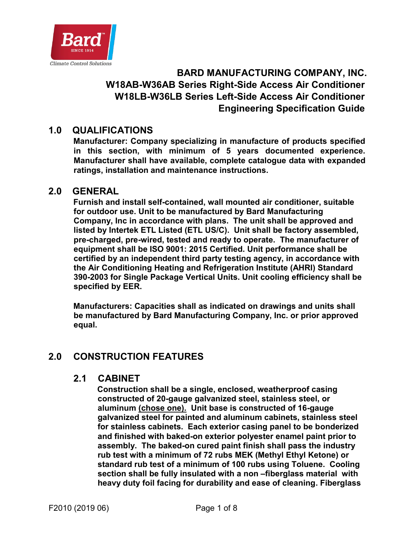

# **BARD MANUFACTURING COMPANY, INC. W18AB-W36AB Series Right-Side Access Air Conditioner W18LB-W36LB Series Left-Side Access Air Conditioner Engineering Specification Guide**

# **1.0 QUALIFICATIONS**

**Manufacturer: Company specializing in manufacture of products specified in this section, with minimum of 5 years documented experience. Manufacturer shall have available, complete catalogue data with expanded ratings, installation and maintenance instructions.** 

### **2.0 GENERAL**

**Furnish and install self-contained, wall mounted air conditioner, suitable for outdoor use. Unit to be manufactured by Bard Manufacturing Company, Inc in accordance with plans. The unit shall be approved and listed by Intertek ETL Listed (ETL US/C). Unit shall be factory assembled, pre-charged, pre-wired, tested and ready to operate. The manufacturer of equipment shall be ISO 9001: 2015 Certified. Unit performance shall be certified by an independent third party testing agency, in accordance with the Air Conditioning Heating and Refrigeration Institute (AHRI) Standard 390-2003 for Single Package Vertical Units. Unit cooling efficiency shall be specified by EER.** 

**Manufacturers: Capacities shall as indicated on drawings and units shall be manufactured by Bard Manufacturing Company, Inc. or prior approved equal.** 

## **2.0 CONSTRUCTION FEATURES**

#### **2.1 CABINET**

**Construction shall be a single, enclosed, weatherproof casing constructed of 20-gauge galvanized steel, stainless steel, or aluminum (chose one). Unit base is constructed of 16-gauge galvanized steel for painted and aluminum cabinets, stainless steel for stainless cabinets. Each exterior casing panel to be bonderized and finished with baked-on exterior polyester enamel paint prior to assembly. The baked-on cured paint finish shall pass the industry rub test with a minimum of 72 rubs MEK (Methyl Ethyl Ketone) or standard rub test of a minimum of 100 rubs using Toluene. Cooling section shall be fully insulated with a non –fiberglass material with heavy duty foil facing for durability and ease of cleaning. Fiberglass**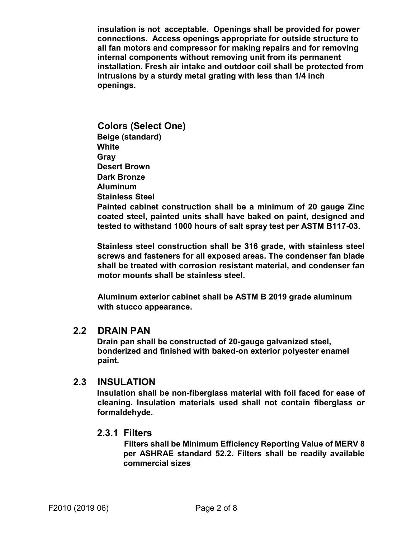**insulation is not acceptable. Openings shall be provided for power connections. Access openings appropriate for outside structure to all fan motors and compressor for making repairs and for removing internal components without removing unit from its permanent installation. Fresh air intake and outdoor coil shall be protected from intrusions by a sturdy metal grating with less than 1/4 inch openings.** 

**Colors (Select One) Beige (standard) White Gray Desert Brown Dark Bronze Aluminum Stainless Steel Painted cabinet construction shall be a minimum of 20 gauge Zinc coated steel, painted units shall have baked on paint, designed and tested to withstand 1000 hours of salt spray test per ASTM B117-03.**

**Stainless steel construction shall be 316 grade, with stainless steel screws and fasteners for all exposed areas. The condenser fan blade shall be treated with corrosion resistant material, and condenser fan motor mounts shall be stainless steel.** 

**Aluminum exterior cabinet shall be ASTM B 2019 grade aluminum with stucco appearance.** 

### **2.2 DRAIN PAN**

**Drain pan shall be constructed of 20-gauge galvanized steel, bonderized and finished with baked-on exterior polyester enamel paint.** 

## **2.3 INSULATION**

**Insulation shall be non-fiberglass material with foil faced for ease of cleaning. Insulation materials used shall not contain fiberglass or formaldehyde.** 

#### **2.3.1 Filters**

 **Filters shall be Minimum Efficiency Reporting Value of MERV 8 per ASHRAE standard 52.2. Filters shall be readily available commercial sizes**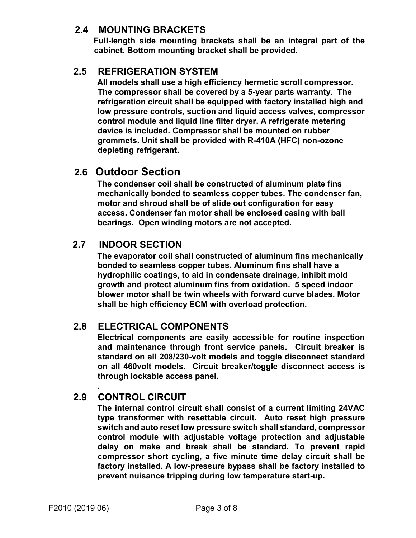# **2.4 MOUNTING BRACKETS**

**Full-length side mounting brackets shall be an integral part of the cabinet. Bottom mounting bracket shall be provided.** 

# **2.5 REFRIGERATION SYSTEM**

**All models shall use a high efficiency hermetic scroll compressor. The compressor shall be covered by a 5-year parts warranty. The refrigeration circuit shall be equipped with factory installed high and low pressure controls, suction and liquid access valves, compressor control module and liquid line filter dryer. A refrigerate metering device is included. Compressor shall be mounted on rubber grommets. Unit shall be provided with R-410A (HFC) non-ozone depleting refrigerant.** 

# **2.6 Outdoor Section**

**The condenser coil shall be constructed of aluminum plate fins mechanically bonded to seamless copper tubes. The condenser fan, motor and shroud shall be of slide out configuration for easy access. Condenser fan motor shall be enclosed casing with ball bearings. Open winding motors are not accepted.** 

# **2.7 INDOOR SECTION**

**The evaporator coil shall constructed of aluminum fins mechanically bonded to seamless copper tubes. Aluminum fins shall have a hydrophilic coatings, to aid in condensate drainage, inhibit mold growth and protect aluminum fins from oxidation. 5 speed indoor blower motor shall be twin wheels with forward curve blades. Motor shall be high efficiency ECM with overload protection.** 

# **2.8 ELECTRICAL COMPONENTS**

**Electrical components are easily accessible for routine inspection and maintenance through front service panels. Circuit breaker is standard on all 208/230-volt models and toggle disconnect standard on all 460volt models. Circuit breaker/toggle disconnect access is through lockable access panel.** 

# **2.9 CONTROL CIRCUIT**

**.** 

**The internal control circuit shall consist of a current limiting 24VAC type transformer with resettable circuit. Auto reset high pressure switch and auto reset low pressure switch shall standard, compressor control module with adjustable voltage protection and adjustable delay on make and break shall be standard. To prevent rapid compressor short cycling, a five minute time delay circuit shall be factory installed. A low-pressure bypass shall be factory installed to prevent nuisance tripping during low temperature start-up.**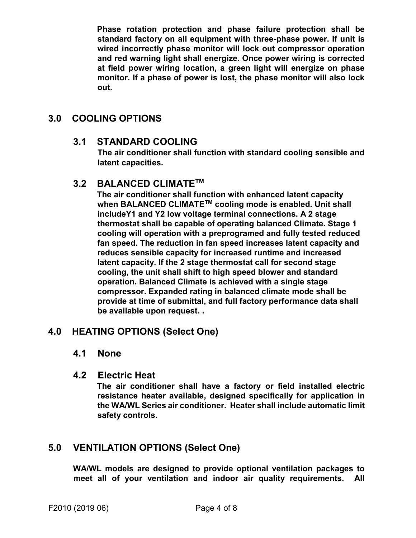**Phase rotation protection and phase failure protection shall be standard factory on all equipment with three-phase power. If unit is wired incorrectly phase monitor will lock out compressor operation and red warning light shall energize. Once power wiring is corrected at field power wiring location, a green light will energize on phase monitor. If a phase of power is lost, the phase monitor will also lock out.** 

# **3.0 COOLING OPTIONS**

## **3.1 STANDARD COOLING**

**The air conditioner shall function with standard cooling sensible and latent capacities.** 

## **3.2 BALANCED CLIMATETM**

**The air conditioner shall function with enhanced latent capacity when BALANCED CLIMATETM cooling mode is enabled. Unit shall includeY1 and Y2 low voltage terminal connections. A 2 stage thermostat shall be capable of operating balanced Climate. Stage 1 cooling will operation with a preprogramed and fully tested reduced fan speed. The reduction in fan speed increases latent capacity and reduces sensible capacity for increased runtime and increased latent capacity. If the 2 stage thermostat call for second stage cooling, the unit shall shift to high speed blower and standard operation. Balanced Climate is achieved with a single stage compressor. Expanded rating in balanced climate mode shall be provide at time of submittal, and full factory performance data shall be available upon request. .** 

## **4.0 HEATING OPTIONS (Select One)**

### **4.1 None**

### **4.2 Electric Heat**

**The air conditioner shall have a factory or field installed electric resistance heater available, designed specifically for application in the WA/WL Series air conditioner. Heater shall include automatic limit safety controls.** 

# **5.0 VENTILATION OPTIONS (Select One)**

**WA/WL models are designed to provide optional ventilation packages to meet all of your ventilation and indoor air quality requirements. All**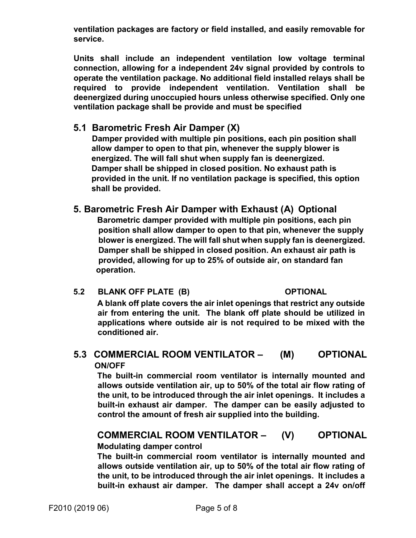**ventilation packages are factory or field installed, and easily removable for service.** 

**Units shall include an independent ventilation low voltage terminal connection, allowing for a independent 24v signal provided by controls to operate the ventilation package. No additional field installed relays shall be required to provide independent ventilation. Ventilation shall be deenergized during unoccupied hours unless otherwise specified. Only one ventilation package shall be provide and must be specified** 

## **5.1 Barometric Fresh Air Damper (X)**

 **Damper provided with multiple pin positions, each pin position shall allow damper to open to that pin, whenever the supply blower is energized. The will fall shut when supply fan is deenergized. Damper shall be shipped in closed position. No exhaust path is provided in the unit. If no ventilation package is specified, this option shall be provided.** 

## **5. Barometric Fresh Air Damper with Exhaust (A) Optional**

 **Barometric damper provided with multiple pin positions, each pin position shall allow damper to open to that pin, whenever the supply blower is energized. The will fall shut when supply fan is deenergized. Damper shall be shipped in closed position. An exhaust air path is provided, allowing for up to 25% of outside air, on standard fan operation.** 

#### **5.2 BLANK OFF PLATE (B) OPTIONAL**

**A blank off plate covers the air inlet openings that restrict any outside air from entering the unit. The blank off plate should be utilized in applications where outside air is not required to be mixed with the conditioned air.** 

# **5.3 COMMERCIAL ROOM VENTILATOR – (M) OPTIONAL ON/OFF**

**The built-in commercial room ventilator is internally mounted and allows outside ventilation air, up to 50% of the total air flow rating of the unit, to be introduced through the air inlet openings. It includes a built-in exhaust air damper. The damper can be easily adjusted to control the amount of fresh air supplied into the building.** 

# **COMMERCIAL ROOM VENTILATOR – (V) OPTIONAL**

## **Modulating damper control**

**The built-in commercial room ventilator is internally mounted and allows outside ventilation air, up to 50% of the total air flow rating of the unit, to be introduced through the air inlet openings. It includes a built-in exhaust air damper. The damper shall accept a 24v on/off**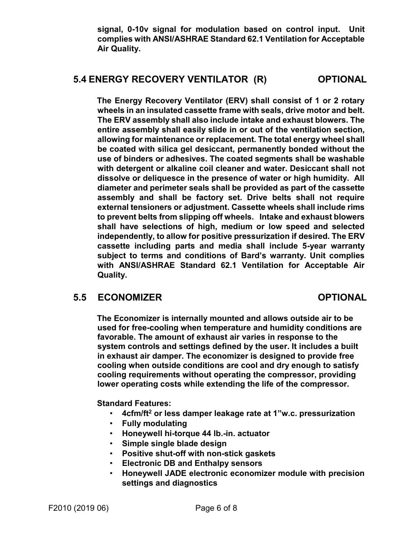**signal, 0-10v signal for modulation based on control input. Unit complies with ANSI/ASHRAE Standard 62.1 Ventilation for Acceptable Air Quality.** 

# **5.4 ENERGY RECOVERY VENTILATOR (R) OPTIONAL**

**The Energy Recovery Ventilator (ERV) shall consist of 1 or 2 rotary wheels in an insulated cassette frame with seals, drive motor and belt. The ERV assembly shall also include intake and exhaust blowers. The entire assembly shall easily slide in or out of the ventilation section, allowing for maintenance or replacement. The total energy wheel shall be coated with silica gel desiccant, permanently bonded without the use of binders or adhesives. The coated segments shall be washable with detergent or alkaline coil cleaner and water. Desiccant shall not dissolve or deliquesce in the presence of water or high humidity. All diameter and perimeter seals shall be provided as part of the cassette assembly and shall be factory set. Drive belts shall not require external tensioners or adjustment. Cassette wheels shall include rims to prevent belts from slipping off wheels. Intake and exhaust blowers shall have selections of high, medium or low speed and selected independently, to allow for positive pressurization if desired. The ERV cassette including parts and media shall include 5-year warranty subject to terms and conditions of Bard's warranty. Unit complies with ANSI/ASHRAE Standard 62.1 Ventilation for Acceptable Air Quality.** 

## **5.5 ECONOMIZER OPTIONAL**

**The Economizer is internally mounted and allows outside air to be used for free-cooling when temperature and humidity conditions are favorable. The amount of exhaust air varies in response to the system controls and settings defined by the user. It includes a built in exhaust air damper. The economizer is designed to provide free cooling when outside conditions are cool and dry enough to satisfy cooling requirements without operating the compressor, providing lower operating costs while extending the life of the compressor.** 

**Standard Features:** 

- • **4cfm/ft<sup>2</sup> or less damper leakage rate at 1"w.c. pressurization**
- **Fully modulating**
- **Honeywell hi-torque 44 lb.-in. actuator**
- **Simple single blade design**
- **Positive shut-off with non-stick gaskets**
- **Electronic DB and Enthalpy sensors**
- **Honeywell JADE electronic economizer module with precision settings and diagnostics**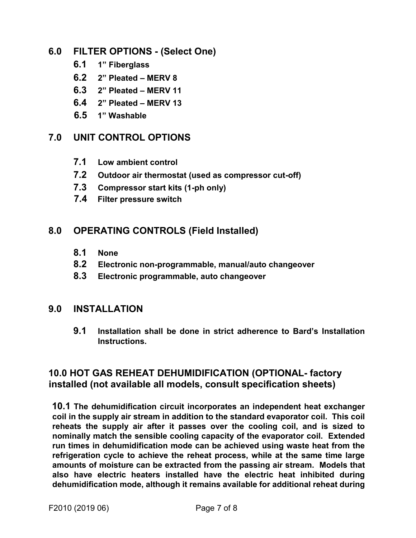## **6.0 FILTER OPTIONS - (Select One)**

- **6.1 1" Fiberglass**
- **6.2 2" Pleated MERV 8**
- **6.3 2" Pleated MERV 11**
- **6.4 2" Pleated MERV 13**
- **6.5 1" Washable**

# **7.0 UNIT CONTROL OPTIONS**

- **7.1 Low ambient control**
- **7.2 Outdoor air thermostat (used as compressor cut-off)**
- **7.3 Compressor start kits (1-ph only)**
- **7.4 Filter pressure switch**

# **8.0 OPERATING CONTROLS (Field Installed)**

- **8.1 None**
- **8.2 Electronic non-programmable, manual/auto changeover**
- **8.3 Electronic programmable, auto changeover**

### **9.0 INSTALLATION**

**9.1 Installation shall be done in strict adherence to Bard's Installation Instructions.** 

# **10.0 HOT GAS REHEAT DEHUMIDIFICATION (OPTIONAL- factory installed (not available all models, consult specification sheets)**

**10.1 The dehumidification circuit incorporates an independent heat exchanger coil in the supply air stream in addition to the standard evaporator coil. This coil reheats the supply air after it passes over the cooling coil, and is sized to nominally match the sensible cooling capacity of the evaporator coil. Extended run times in dehumidification mode can be achieved using waste heat from the refrigeration cycle to achieve the reheat process, while at the same time large amounts of moisture can be extracted from the passing air stream. Models that also have electric heaters installed have the electric heat inhibited during dehumidification mode, although it remains available for additional reheat during**